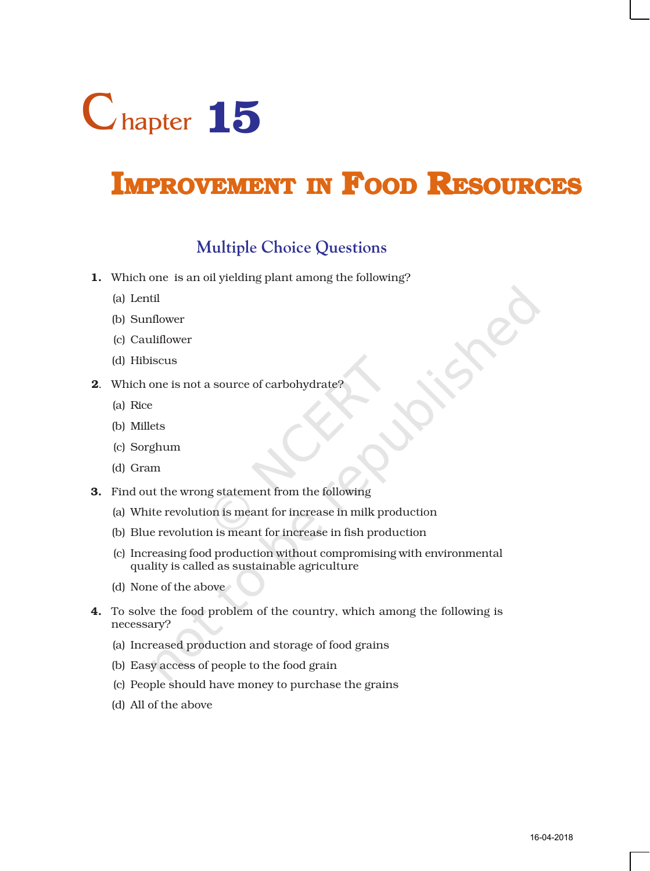

# **IMPROVEMENT IN FOOD RESOURCES**

## **Multiple Choice Questions**

- 1. Which one is an oil yielding plant among the following?
	- (a) Lentil
	- (b) Sunflower
	- (c) Cauliflower
	- (d) Hibiscus
- 2. Which one is not a source of carbohydrate?
	- (a) Rice
	- (b) Millets
	- (c) Sorghum
	- (d) Gram
- 3. Find out the wrong statement from the following
	- (a) White revolution is meant for increase in milk production
	- (b) Blue revolution is meant for increase in fish production
	- (c) Increasing food production without compromising with environmental quality is called as sustainable agriculture
	- (d) None of the above
- 4. To solve the food problem of the country, which among the following is necessary?
	- (a) Increased production and storage of food grains
	- (b) Easy access of people to the food grain
	- (c) People should have money to purchase the grains
	- (d) All of the above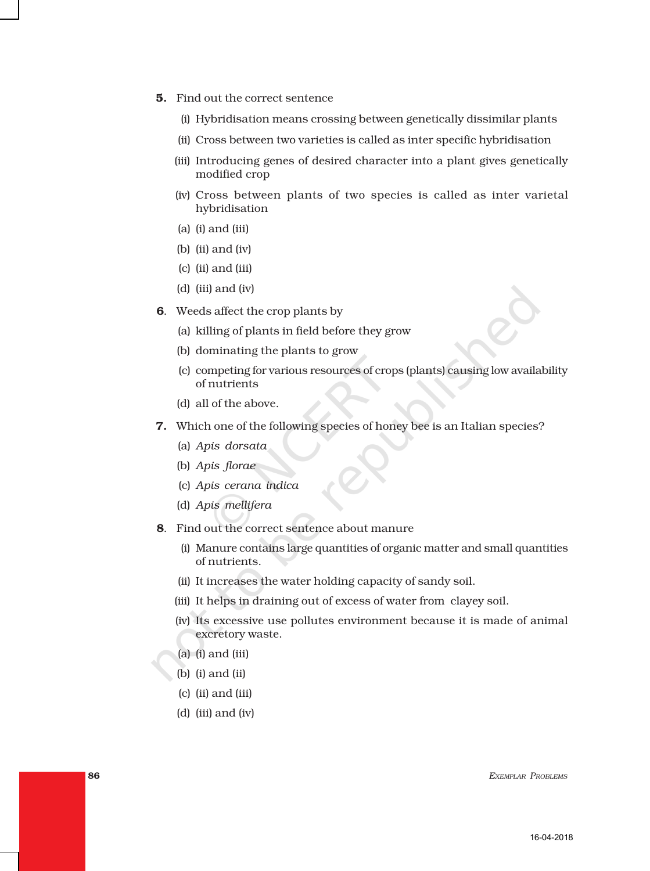- 5. Find out the correct sentence
	- (i) Hybridisation means crossing between genetically dissimilar plants
	- (ii) Cross between two varieties is called as inter specific hybridisation
	- (iii) Introducing genes of desired character into a plant gives genetically modified crop
	- (iv) Cross between plants of two species is called as inter varietal hybridisation
	- (a) (i) and (iii)
	- (b) (ii) and (iv)
	- (c) (ii) and (iii)
	- (d) (iii) and (iv)
- 6. Weeds affect the crop plants by
	- (a) killing of plants in field before they grow
	- (b) dominating the plants to grow
	- (c) competing for various resources of crops (plants) causing low availability of nutrients
	- (d) all of the above.
- 7. Which one of the following species of honey bee is an Italian species?
	- (a) *Apis dorsata*
	- (b) *Apis florae*
	- (c) *Apis cerana indica*
	- (d) *Apis mellifera*
- 8. Find out the correct sentence about manure
	- (i) Manure contains large quantities of organic matter and small quantities of nutrients.
	- (ii) It increases the water holding capacity of sandy soil.
	- (iii) It helps in draining out of excess of water from clayey soil.
	- (iv) Its excessive use pollutes environment because it is made of animal excretory waste.
	- (a) (i) and (iii)
	- (b) (i) and (ii)
	- (c) (ii) and (iii)
	- (d) (iii) and (iv)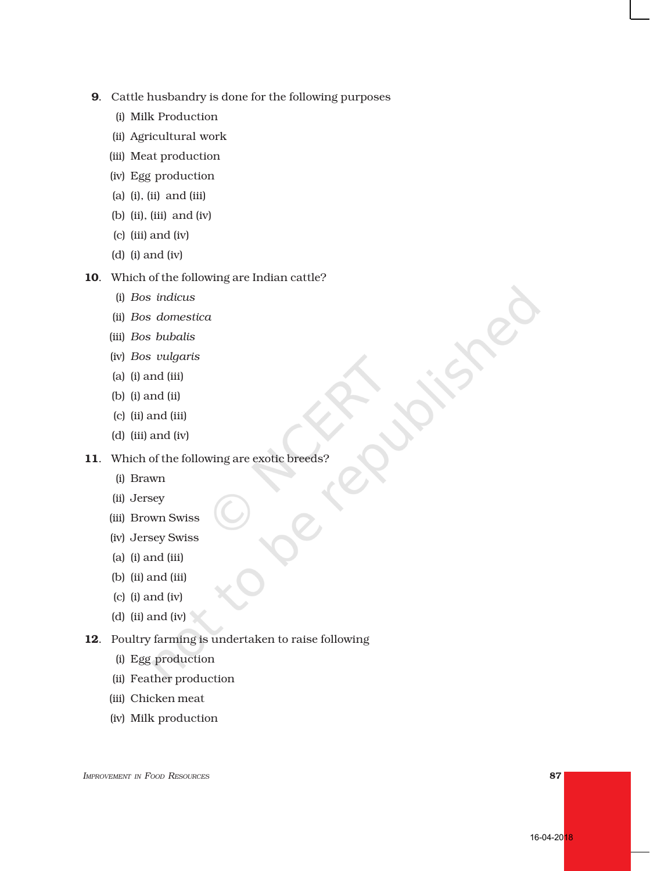- 9. Cattle husbandry is done for the following purposes
	- (i) Milk Production
	- (ii) Agricultural work
	- (iii) Meat production
	- (iv) Egg production
	- (a) (i), (ii) and (iii)
	- (b) (ii), (iii) and (iv)
	- (c) (iii) and (iv)
	- (d) (i) and (iv)

### 10. Which of the following are Indian cattle?

- (i) *Bos indicus*
- (ii) *Bos domestica*
- (iii) *Bos bubalis*
- (iv) *Bos vulgaris*
- (a) (i) and (iii)
- (b) (i) and (ii)
- (c) (ii) and (iii)
- (d) (iii) and (iv)

## 11. Which of the following are exotic breeds?

- (i) Brawn
- (ii) Jersey
- (iii) Brown Swiss
- (iv) Jersey Swiss
- (a) (i) and (iii)
- (b) (ii) and (iii)
- (c) (i) and (iv)
- (d) (ii) and (iv)
- 12. Poultry farming is undertaken to raise following
	- (i) Egg production
	- (ii) Feather production
	- (iii) Chicken meat
	- (iv) Milk production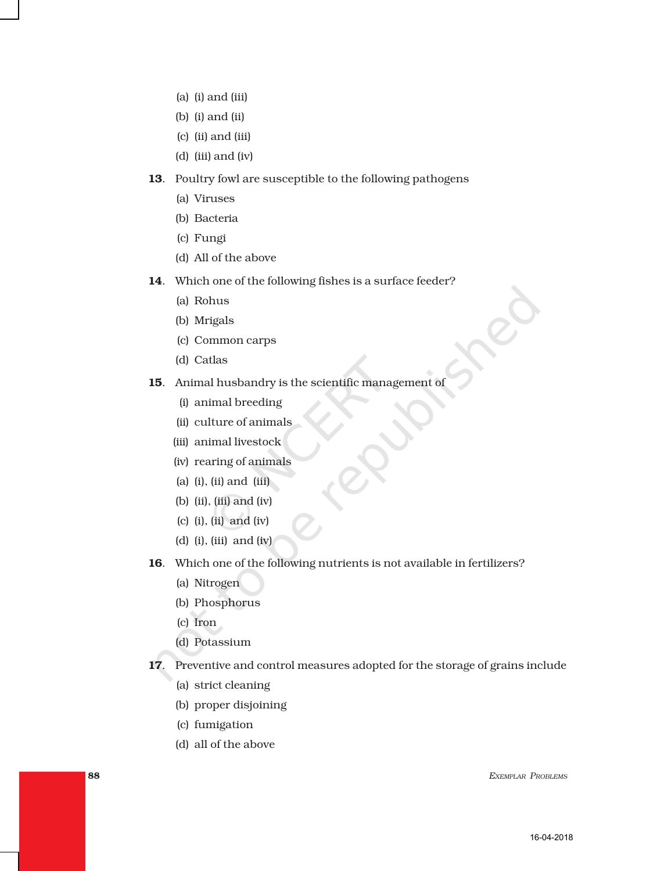- (a) (i) and (iii)
- (b) (i) and (ii)
- (c) (ii) and (iii)
- (d) (iii) and (iv)
- 13. Poultry fowl are susceptible to the following pathogens
	- (a) Viruses
	- (b) Bacteria
	- (c) Fungi
	- (d) All of the above
- 14. Which one of the following fishes is a surface feeder?
	- (a) Rohus
	- (b) Mrigals
	- (c) Common carps
	- (d) Catlas
- 15. Animal husbandry is the scientific management of
	- (i) animal breeding
	- (ii) culture of animals
	- (iii) animal livestock
	- (iv) rearing of animals
	- (a) (i), (ii) and (iii)
	- (b) (ii), (iii) and (iv)
	- (c) (i), (ii) and (iv)
	- (d) (i), (iii) and (iv)
- 16. Which one of the following nutrients is not available in fertilizers?
	- (a) Nitrogen
	- (b) Phosphorus
	- (c) Iron
	- (d) Potassium
- 17. Preventive and control measures adopted for the storage of grains include
	- (a) strict cleaning
	- (b) proper disjoining
	- (c) fumigation
	- (d) all of the above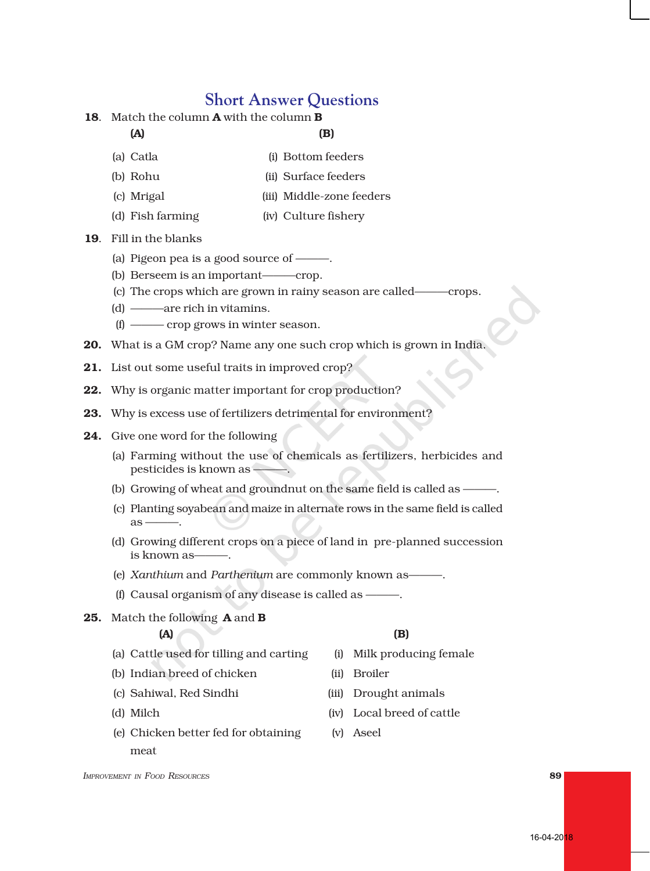## **Short Answer Questions**

18. Match the column **A** with the column **B** 

## $(A)$  (B)

- (a) Catla (i) Bottom feeders
- (b) Rohu (ii) Surface feeders
- (c) Mrigal (iii) Middle-zone feeders
- (d) Fish farming (iv) Culture fishery
- 19. Fill in the blanks
	- (a) Pigeon pea is a good source of ———.
	- (b) Berseem is an important———crop.
	- (c) The crops which are grown in rainy season are called———crops.
	- (d) ———are rich in vitamins.
	- (f) ——— crop grows in winter season.
- 20. What is a GM crop? Name any one such crop which is grown in India.
- 21. List out some useful traits in improved crop?
- 22. Why is organic matter important for crop production?
- 23. Why is excess use of fertilizers detrimental for environment?
- 24. Give one word for the following
	- (a) Farming without the use of chemicals as fertilizers, herbicides and pesticides is known as ———.
	- (b) Growing of wheat and groundnut on the same field is called as ———.
	- (c) Planting soyabean and maize in alternate rows in the same field is called  $\overline{a}$ s –
	- (d) Growing different crops on a piece of land in pre-planned succession is known as-
	- (e) *Xanthium* and *Parthenium* are commonly known as———.
	- (f) Causal organism of any disease is called as  $-\frac{1}{2}$
- 25. Match the following A and B

- $(A)$  (B)
- (a) Cattle used for tilling and carting (i) Milk producing female
- (b) Indian breed of chicken (ii) Broiler
- (c) Sahiwal, Red Sindhi (iii) Drought animals
- 
- (e) Chicken better fed for obtaining (v) Aseel meat
- 
- 
- (d) Milch (iv) Local breed of cattle
	-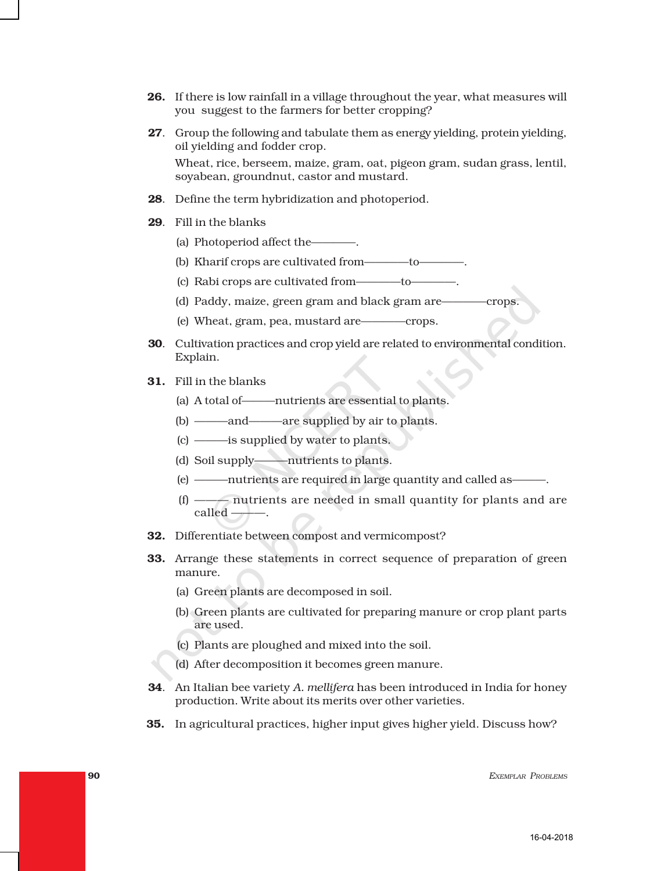- 26. If there is low rainfall in a village throughout the year, what measures will you suggest to the farmers for better cropping?
- 27. Group the following and tabulate them as energy yielding, protein yielding, oil yielding and fodder crop. Wheat, rice, berseem, maize, gram, oat, pigeon gram, sudan grass, lentil, soyabean, groundnut, castor and mustard.
- 28. Define the term hybridization and photoperiod.
- 29. Fill in the blanks
	- (a) Photoperiod affect the————.
	- (b) Kharif crops are cultivated from————to————.
	- (c) Rabi crops are cultivated from————to————.
	- (d) Paddy, maize, green gram and black gram are————crops.
	- (e) Wheat, gram, pea, mustard are————crops.
- 30. Cultivation practices and crop yield are related to environmental condition. Explain.
- 31. Fill in the blanks
	- (a) A total of———nutrients are essential to plants.
	- (b) ———and———are supplied by air to plants.
	- (c) ———is supplied by water to plants.
	- (d) Soil supply———nutrients to plants.
	- (e) nutrients are required in large quantity and called as
	- (f) ——— nutrients are needed in small quantity for plants and are  $called$   $-$
- 32. Differentiate between compost and vermicompost?
- 33. Arrange these statements in correct sequence of preparation of green manure.
	- (a) Green plants are decomposed in soil.
	- (b) Green plants are cultivated for preparing manure or crop plant parts are used.
	- (c) Plants are ploughed and mixed into the soil.
	- (d) After decomposition it becomes green manure.
- 34. An Italian bee variety *A. mellifera* has been introduced in India for honey production. Write about its merits over other varieties.
- 35. In agricultural practices, higher input gives higher yield. Discuss how?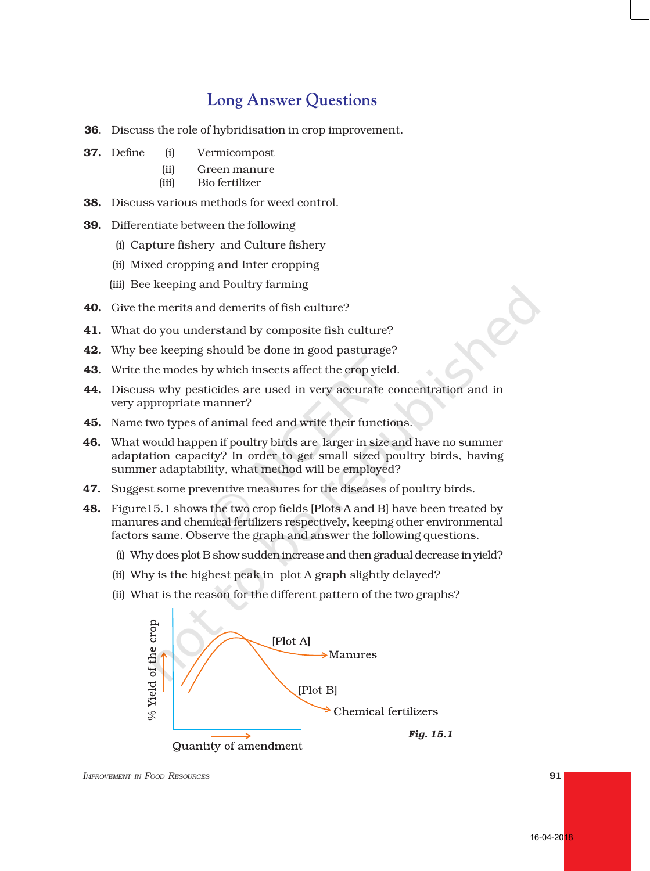## **Long Answer Questions**

- 36. Discuss the role of hybridisation in crop improvement.
- 37. Define (i) Vermicompost
	- (ii) Green manure
	- (iii) Bio fertilizer
- 38. Discuss various methods for weed control.
- 39. Differentiate between the following
	- (i) Capture fishery and Culture fishery
	- (ii) Mixed cropping and Inter cropping
	- (iii) Bee keeping and Poultry farming
- 40. Give the merits and demerits of fish culture?
- 41. What do you understand by composite fish culture?
- 42. Why bee keeping should be done in good pasturage?
- 43. Write the modes by which insects affect the crop yield.
- 44. Discuss why pesticides are used in very accurate concentration and in very appropriate manner?
- 45. Name two types of animal feed and write their functions.
- 46. What would happen if poultry birds are larger in size and have no summer adaptation capacity? In order to get small sized poultry birds, having summer adaptability, what method will be employed?
- 47. Suggest some preventive measures for the diseases of poultry birds.
- 48. Figure15.1 shows the two crop fields [Plots A and B] have been treated by manures and chemical fertilizers respectively, keeping other environmental factors same. Observe the graph and answer the following questions.
	- (i) Why does plot B show sudden increase and then gradual decrease in yield?
	- (ii) Why is the highest peak in plot A graph slightly delayed?
	- (ii) What is the reason for the different pattern of the two graphs?



*IMPROVEMENT IN FOOD RESOURCES* 91